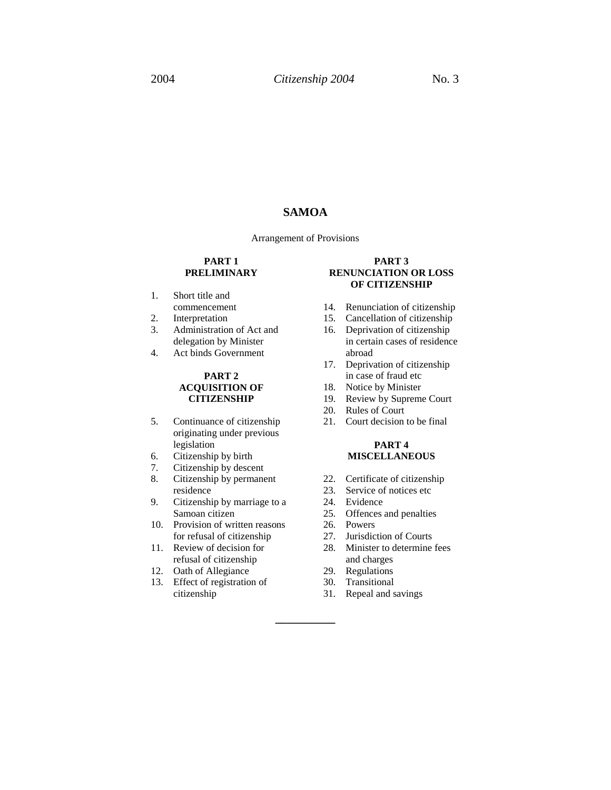### **SAMOA**

Arrangement of Provisions

#### **PART 1 PRELIMINARY**

- 1. Short title and commencement
- 2. Interpretation
- 3. Administration of Act and delegation by Minister
- 4. Act binds Government

### **PART 2 ACQUISITION OF CITIZENSHIP**

- 5. Continuance of citizenship originating under previous legislation
- 6. Citizenship by birth
- 7. Citizenship by descent
- 8. Citizenship by permanent residence
- 9. Citizenship by marriage to a Samoan citizen
- 10. Provision of written reasons for refusal of citizenship
- 11. Review of decision for refusal of citizenship
- 12. Oath of Allegiance
- 13. Effect of registration of citizenship

#### **PART 3 RENUNCIATION OR LOSS OF CITIZENSHIP**

- 14. Renunciation of citizenship
- 15. Cancellation of citizenship
- 16. Deprivation of citizenship in certain cases of residence abroad
- 17. Deprivation of citizenship in case of fraud etc
- 18. Notice by Minister
- 19. Review by Supreme Court
- 20. Rules of Court
- 21. Court decision to be final

#### **PART 4 MISCELLANEOUS**

- 22. Certificate of citizenship
- 23. Service of notices etc
- 24. Evidence
- 25. Offences and penalties
- 26. Powers
- 27. Jurisdiction of Courts
- 28. Minister to determine fees and charges
- 29. Regulations
- 30. Transitional

**\_\_\_\_\_\_\_\_\_\_**

31. Repeal and savings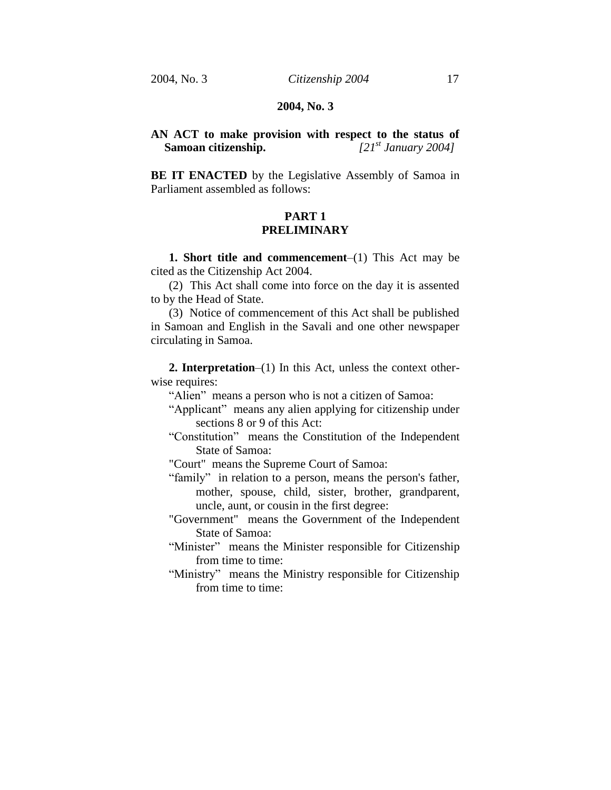### **2004, No. 3**

# **AN ACT to make provision with respect to the status of Samoan citizenship.** *[21st January 2004]*

**BE IT ENACTED** by the Legislative Assembly of Samoa in Parliament assembled as follows:

# **PART 1 PRELIMINARY**

**1. Short title and commencement**–(1) This Act may be cited as the Citizenship Act 2004.

(2) This Act shall come into force on the day it is assented to by the Head of State.

(3) Notice of commencement of this Act shall be published in Samoan and English in the Savali and one other newspaper circulating in Samoa.

**2. Interpretation**–(1) In this Act, unless the context otherwise requires:

"Alien" means a person who is not a citizen of Samoa:

- "Applicant" means any alien applying for citizenship under sections 8 or 9 of this Act:
- "Constitution" means the Constitution of the Independent State of Samoa:

"Court" means the Supreme Court of Samoa:

"family" in relation to a person, means the person's father, mother, spouse, child, sister, brother, grandparent, uncle, aunt, or cousin in the first degree:

"Government" means the Government of the Independent State of Samoa:

"Minister" means the Minister responsible for Citizenship from time to time:

"Ministry" means the Ministry responsible for Citizenship from time to time: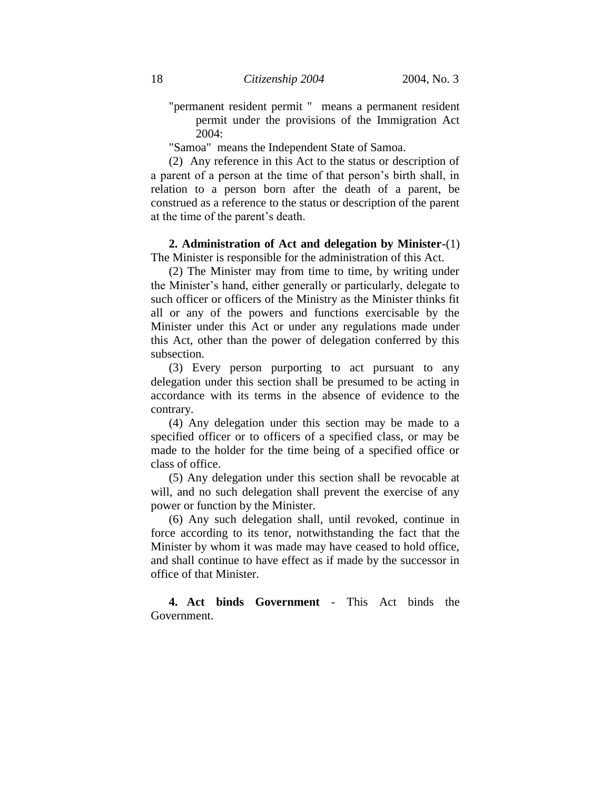"permanent resident permit " means a permanent resident permit under the provisions of the Immigration Act 2004:

"Samoa" means the Independent State of Samoa.

(2) Any reference in this Act to the status or description of a parent of a person at the time of that person's birth shall, in relation to a person born after the death of a parent, be construed as a reference to the status or description of the parent at the time of the parent's death.

**2. Administration of Act and delegation by Minister-**(1) The Minister is responsible for the administration of this Act.

(2) The Minister may from time to time, by writing under the Minister's hand, either generally or particularly, delegate to such officer or officers of the Ministry as the Minister thinks fit all or any of the powers and functions exercisable by the Minister under this Act or under any regulations made under this Act, other than the power of delegation conferred by this subsection.

(3) Every person purporting to act pursuant to any delegation under this section shall be presumed to be acting in accordance with its terms in the absence of evidence to the contrary.

(4) Any delegation under this section may be made to a specified officer or to officers of a specified class, or may be made to the holder for the time being of a specified office or class of office.

(5) Any delegation under this section shall be revocable at will, and no such delegation shall prevent the exercise of any power or function by the Minister.

(6) Any such delegation shall, until revoked, continue in force according to its tenor, notwithstanding the fact that the Minister by whom it was made may have ceased to hold office, and shall continue to have effect as if made by the successor in office of that Minister.

**4. Act binds Government** - This Act binds the Government.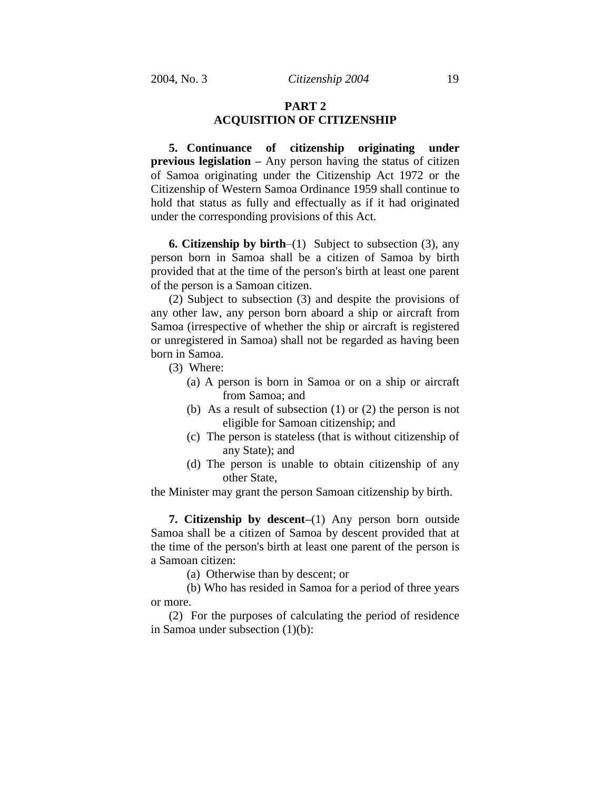# **PART 2 ACQUISITION OF CITIZENSHIP**

**5. Continuance of citizenship originating under previous legislation –** Any person having the status of citizen of Samoa originating under the Citizenship Act 1972 or the Citizenship of Western Samoa Ordinance 1959 shall continue to hold that status as fully and effectually as if it had originated under the corresponding provisions of this Act.

**6. Citizenship by birth**–(1) Subject to subsection (3), any person born in Samoa shall be a citizen of Samoa by birth provided that at the time of the person's birth at least one parent of the person is a Samoan citizen.

(2) Subject to subsection (3) and despite the provisions of any other law, any person born aboard a ship or aircraft from Samoa (irrespective of whether the ship or aircraft is registered or unregistered in Samoa) shall not be regarded as having been born in Samoa.

- (3) Where:
	- (a) A person is born in Samoa or on a ship or aircraft from Samoa; and
	- (b) As a result of subsection (1) or (2) the person is not eligible for Samoan citizenship; and
	- (c) The person is stateless (that is without citizenship of any State); and
	- (d) The person is unable to obtain citizenship of any other State,

the Minister may grant the person Samoan citizenship by birth.

**7. Citizenship by descent–**(1) Any person born outside Samoa shall be a citizen of Samoa by descent provided that at the time of the person's birth at least one parent of the person is a Samoan citizen:

(a) Otherwise than by descent; or

(b) Who has resided in Samoa for a period of three years or more.

(2) For the purposes of calculating the period of residence in Samoa under subsection (1)(b):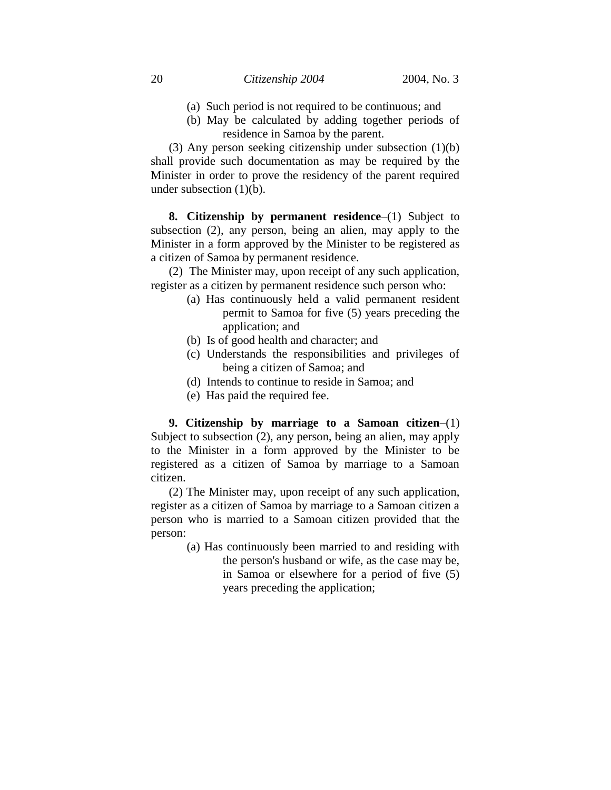- (a) Such period is not required to be continuous; and
- (b) May be calculated by adding together periods of residence in Samoa by the parent.

(3) Any person seeking citizenship under subsection (1)(b) shall provide such documentation as may be required by the Minister in order to prove the residency of the parent required under subsection (1)(b).

**8. Citizenship by permanent residence**–(1) Subject to subsection (2), any person, being an alien, may apply to the Minister in a form approved by the Minister to be registered as a citizen of Samoa by permanent residence.

(2) The Minister may, upon receipt of any such application, register as a citizen by permanent residence such person who:

- (a) Has continuously held a valid permanent resident permit to Samoa for five (5) years preceding the application; and
- (b) Is of good health and character; and
- (c) Understands the responsibilities and privileges of being a citizen of Samoa; and
- (d) Intends to continue to reside in Samoa; and
- (e) Has paid the required fee.

**9. Citizenship by marriage to a Samoan citizen**–(1) Subject to subsection (2), any person, being an alien, may apply to the Minister in a form approved by the Minister to be registered as a citizen of Samoa by marriage to a Samoan citizen.

(2) The Minister may, upon receipt of any such application, register as a citizen of Samoa by marriage to a Samoan citizen a person who is married to a Samoan citizen provided that the person:

> (a) Has continuously been married to and residing with the person's husband or wife, as the case may be, in Samoa or elsewhere for a period of five (5) years preceding the application;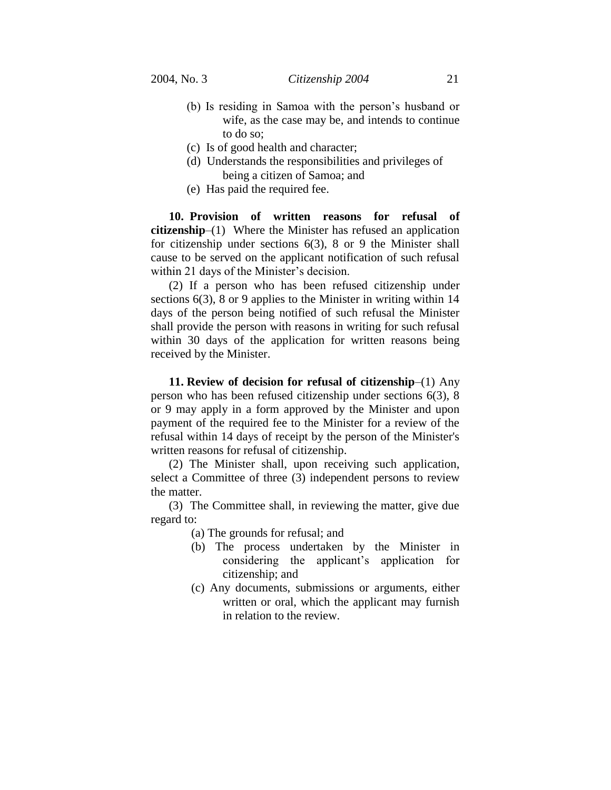- (b) Is residing in Samoa with the person's husband or wife, as the case may be, and intends to continue to do so;
- (c) Is of good health and character;
- (d) Understands the responsibilities and privileges of being a citizen of Samoa; and
- (e) Has paid the required fee.

**10. Provision of written reasons for refusal of citizenship**–(1) Where the Minister has refused an application for citizenship under sections 6(3), 8 or 9 the Minister shall cause to be served on the applicant notification of such refusal within 21 days of the Minister's decision.

(2) If a person who has been refused citizenship under sections 6(3), 8 or 9 applies to the Minister in writing within 14 days of the person being notified of such refusal the Minister shall provide the person with reasons in writing for such refusal within 30 days of the application for written reasons being received by the Minister.

**11. Review of decision for refusal of citizenship**–(1) Any person who has been refused citizenship under sections 6(3), 8 or 9 may apply in a form approved by the Minister and upon payment of the required fee to the Minister for a review of the refusal within 14 days of receipt by the person of the Minister's written reasons for refusal of citizenship.

(2) The Minister shall, upon receiving such application, select a Committee of three (3) independent persons to review the matter.

(3) The Committee shall, in reviewing the matter, give due regard to:

(a) The grounds for refusal; and

- (b) The process undertaken by the Minister in considering the applicant's application for citizenship; and
- (c) Any documents, submissions or arguments, either written or oral, which the applicant may furnish in relation to the review.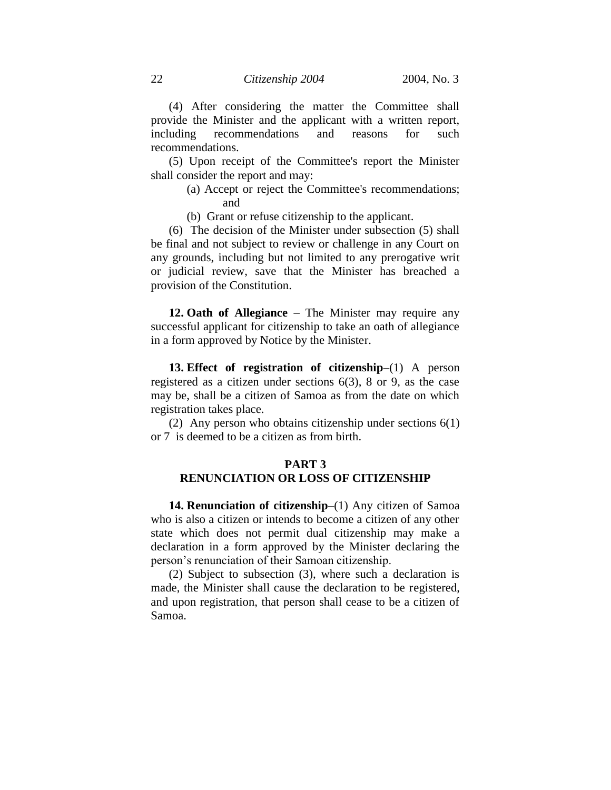(4) After considering the matter the Committee shall provide the Minister and the applicant with a written report, including recommendations and reasons for such recommendations.

(5) Upon receipt of the Committee's report the Minister shall consider the report and may:

- (a) Accept or reject the Committee's recommendations; and
- (b) Grant or refuse citizenship to the applicant.

(6) The decision of the Minister under subsection (5) shall be final and not subject to review or challenge in any Court on any grounds, including but not limited to any prerogative writ or judicial review, save that the Minister has breached a provision of the Constitution.

**12. Oath of Allegiance** – The Minister may require any successful applicant for citizenship to take an oath of allegiance in a form approved by Notice by the Minister.

**13. Effect of registration of citizenship**–(1) A person registered as a citizen under sections 6(3), 8 or 9, as the case may be, shall be a citizen of Samoa as from the date on which registration takes place.

(2) Any person who obtains citizenship under sections 6(1) or 7 is deemed to be a citizen as from birth.

#### **PART 3**

# **RENUNCIATION OR LOSS OF CITIZENSHIP**

**14. Renunciation of citizenship**–(1) Any citizen of Samoa who is also a citizen or intends to become a citizen of any other state which does not permit dual citizenship may make a declaration in a form approved by the Minister declaring the person's renunciation of their Samoan citizenship.

(2) Subject to subsection (3), where such a declaration is made, the Minister shall cause the declaration to be registered, and upon registration, that person shall cease to be a citizen of Samoa.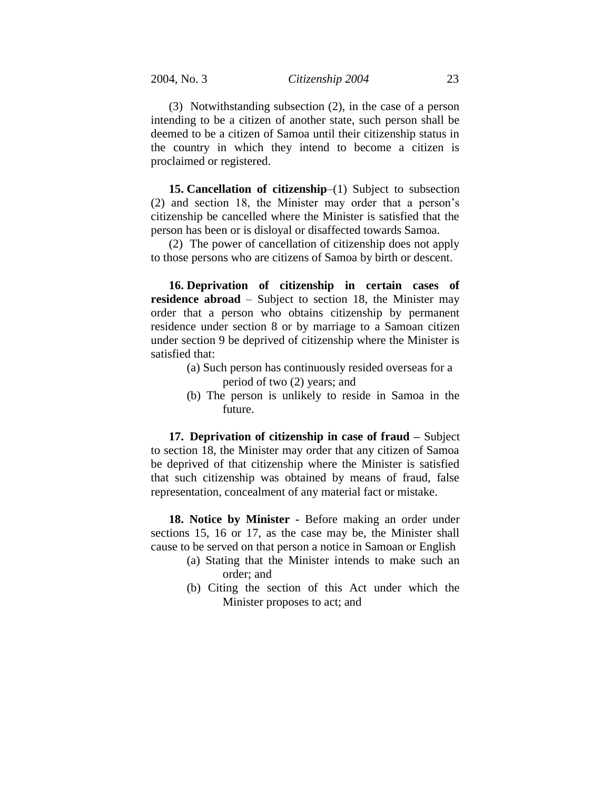(3) Notwithstanding subsection (2), in the case of a person intending to be a citizen of another state, such person shall be deemed to be a citizen of Samoa until their citizenship status in the country in which they intend to become a citizen is proclaimed or registered.

**15. Cancellation of citizenship**–(1) Subject to subsection (2) and section 18, the Minister may order that a person's citizenship be cancelled where the Minister is satisfied that the person has been or is disloyal or disaffected towards Samoa.

(2) The power of cancellation of citizenship does not apply to those persons who are citizens of Samoa by birth or descent.

**16. Deprivation of citizenship in certain cases of residence abroad** – Subject to section 18, the Minister may order that a person who obtains citizenship by permanent residence under section 8 or by marriage to a Samoan citizen under section 9 be deprived of citizenship where the Minister is satisfied that:

- (a) Such person has continuously resided overseas for a period of two (2) years; and
- (b) The person is unlikely to reside in Samoa in the future.

**17. Deprivation of citizenship in case of fraud –** Subject to section 18, the Minister may order that any citizen of Samoa be deprived of that citizenship where the Minister is satisfied that such citizenship was obtained by means of fraud, false representation, concealment of any material fact or mistake.

**18. Notice by Minister -** Before making an order under sections 15, 16 or 17, as the case may be, the Minister shall cause to be served on that person a notice in Samoan or English

- (a) Stating that the Minister intends to make such an order; and
- (b) Citing the section of this Act under which the Minister proposes to act; and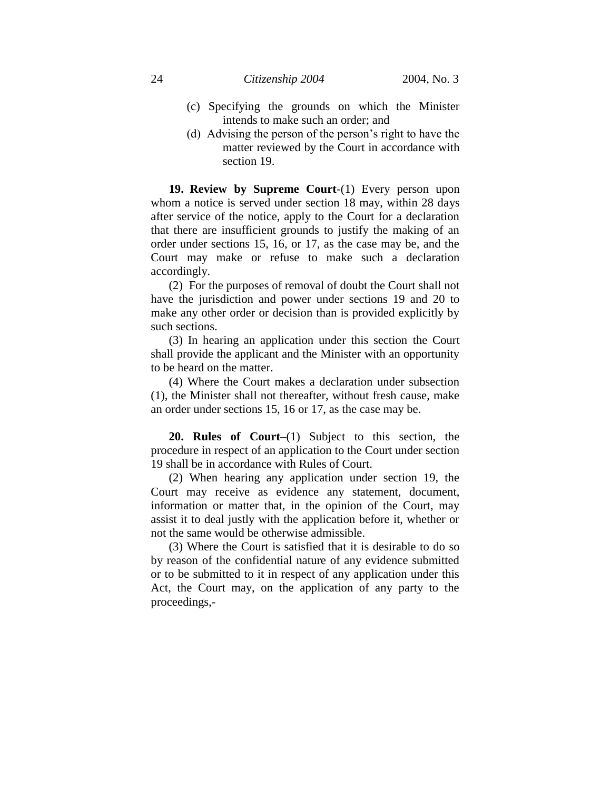- (c) Specifying the grounds on which the Minister intends to make such an order; and
- (d) Advising the person of the person's right to have the matter reviewed by the Court in accordance with section 19.

**19. Review by Supreme Court**-(1) Every person upon whom a notice is served under section 18 may, within 28 days after service of the notice, apply to the Court for a declaration that there are insufficient grounds to justify the making of an order under sections 15, 16, or 17, as the case may be, and the Court may make or refuse to make such a declaration accordingly.

(2) For the purposes of removal of doubt the Court shall not have the jurisdiction and power under sections 19 and 20 to make any other order or decision than is provided explicitly by such sections.

(3) In hearing an application under this section the Court shall provide the applicant and the Minister with an opportunity to be heard on the matter.

(4) Where the Court makes a declaration under subsection (1), the Minister shall not thereafter, without fresh cause, make an order under sections 15, 16 or 17, as the case may be.

**20. Rules of Court–**(1) Subject to this section, the procedure in respect of an application to the Court under section 19 shall be in accordance with Rules of Court.

(2) When hearing any application under section 19, the Court may receive as evidence any statement, document, information or matter that, in the opinion of the Court, may assist it to deal justly with the application before it, whether or not the same would be otherwise admissible.

(3) Where the Court is satisfied that it is desirable to do so by reason of the confidential nature of any evidence submitted or to be submitted to it in respect of any application under this Act, the Court may, on the application of any party to the proceedings,-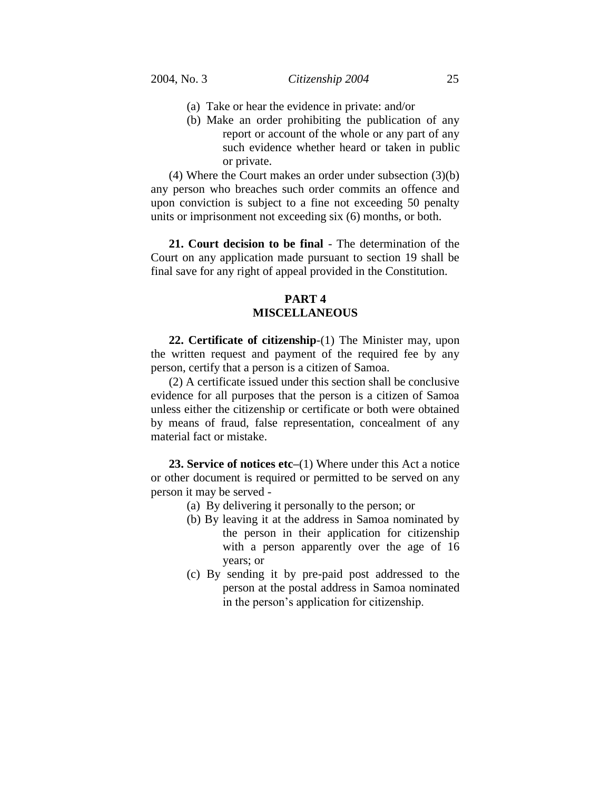- (a) Take or hear the evidence in private: and/or
- (b) Make an order prohibiting the publication of any report or account of the whole or any part of any such evidence whether heard or taken in public or private.

(4) Where the Court makes an order under subsection (3)(b) any person who breaches such order commits an offence and upon conviction is subject to a fine not exceeding 50 penalty units or imprisonment not exceeding six (6) months, or both.

**21. Court decision to be final** - The determination of the Court on any application made pursuant to section 19 shall be final save for any right of appeal provided in the Constitution.

# **PART 4 MISCELLANEOUS**

**22. Certificate of citizenship**-(1) The Minister may, upon the written request and payment of the required fee by any person, certify that a person is a citizen of Samoa.

(2) A certificate issued under this section shall be conclusive evidence for all purposes that the person is a citizen of Samoa unless either the citizenship or certificate or both were obtained by means of fraud, false representation, concealment of any material fact or mistake.

**23. Service of notices etc–**(1) Where under this Act a notice or other document is required or permitted to be served on any person it may be served -

- (a) By delivering it personally to the person; or
- (b) By leaving it at the address in Samoa nominated by the person in their application for citizenship with a person apparently over the age of 16 years; or
- (c) By sending it by pre-paid post addressed to the person at the postal address in Samoa nominated in the person's application for citizenship.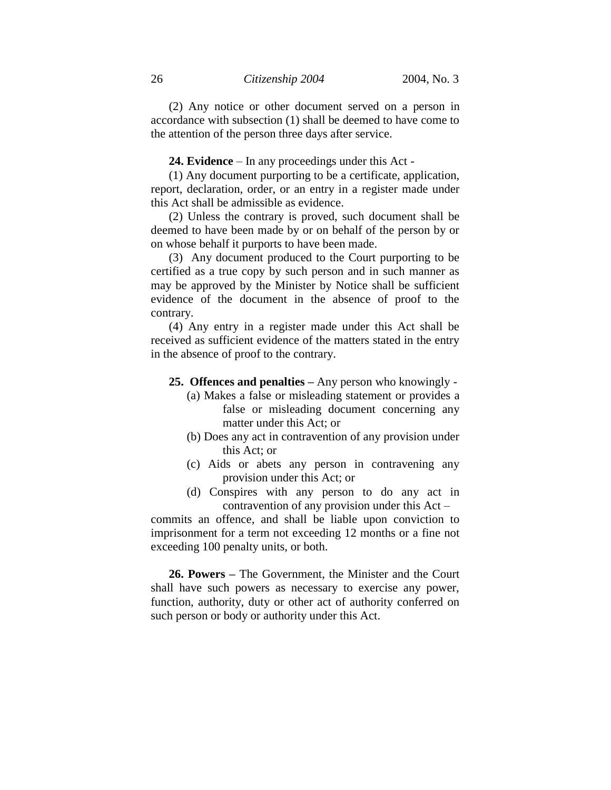(2) Any notice or other document served on a person in accordance with subsection (1) shall be deemed to have come to the attention of the person three days after service.

**24. Evidence** – In any proceedings under this Act -

(1) Any document purporting to be a certificate, application, report, declaration, order, or an entry in a register made under this Act shall be admissible as evidence.

(2) Unless the contrary is proved, such document shall be deemed to have been made by or on behalf of the person by or on whose behalf it purports to have been made.

(3) Any document produced to the Court purporting to be certified as a true copy by such person and in such manner as may be approved by the Minister by Notice shall be sufficient evidence of the document in the absence of proof to the contrary.

(4) Any entry in a register made under this Act shall be received as sufficient evidence of the matters stated in the entry in the absence of proof to the contrary.

- **25. Offences and penalties –** Any person who knowingly
	- (a) Makes a false or misleading statement or provides a false or misleading document concerning any matter under this Act; or
	- (b) Does any act in contravention of any provision under this Act; or
	- (c) Aids or abets any person in contravening any provision under this Act; or
	- (d) Conspires with any person to do any act in contravention of any provision under this Act –

commits an offence, and shall be liable upon conviction to imprisonment for a term not exceeding 12 months or a fine not exceeding 100 penalty units, or both.

**26. Powers –** The Government, the Minister and the Court shall have such powers as necessary to exercise any power, function, authority, duty or other act of authority conferred on such person or body or authority under this Act.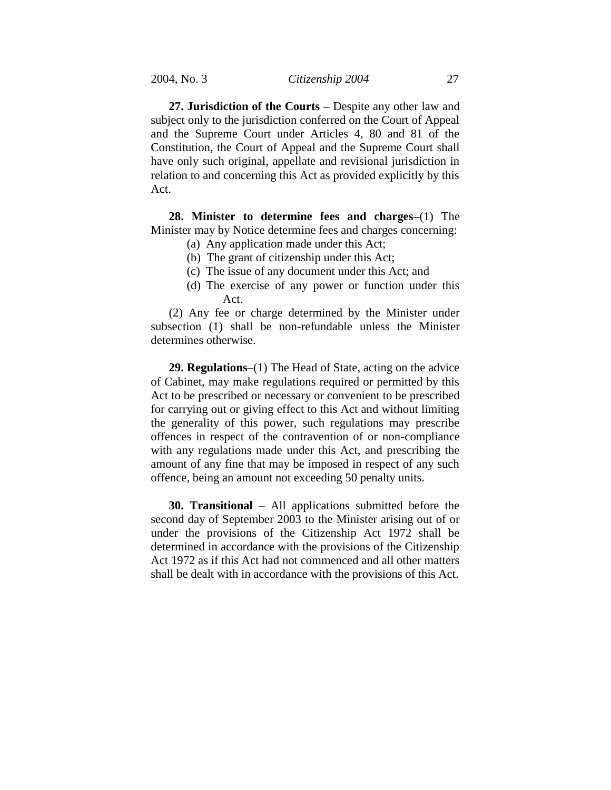**27. Jurisdiction of the Courts –** Despite any other law and subject only to the jurisdiction conferred on the Court of Appeal and the Supreme Court under Articles 4, 80 and 81 of the Constitution, the Court of Appeal and the Supreme Court shall have only such original, appellate and revisional jurisdiction in relation to and concerning this Act as provided explicitly by this Act.

**28. Minister to determine fees and charges–**(1) The Minister may by Notice determine fees and charges concerning:

- (a) Any application made under this Act;
- (b) The grant of citizenship under this Act;
- (c) The issue of any document under this Act; and
- (d) The exercise of any power or function under this Act.

(2) Any fee or charge determined by the Minister under subsection (1) shall be non-refundable unless the Minister determines otherwise.

**29. Regulations**–(1) The Head of State, acting on the advice of Cabinet, may make regulations required or permitted by this Act to be prescribed or necessary or convenient to be prescribed for carrying out or giving effect to this Act and without limiting the generality of this power, such regulations may prescribe offences in respect of the contravention of or non-compliance with any regulations made under this Act, and prescribing the amount of any fine that may be imposed in respect of any such offence, being an amount not exceeding 50 penalty units.

**30. Transitional** – All applications submitted before the second day of September 2003 to the Minister arising out of or under the provisions of the Citizenship Act 1972 shall be determined in accordance with the provisions of the Citizenship Act 1972 as if this Act had not commenced and all other matters shall be dealt with in accordance with the provisions of this Act.